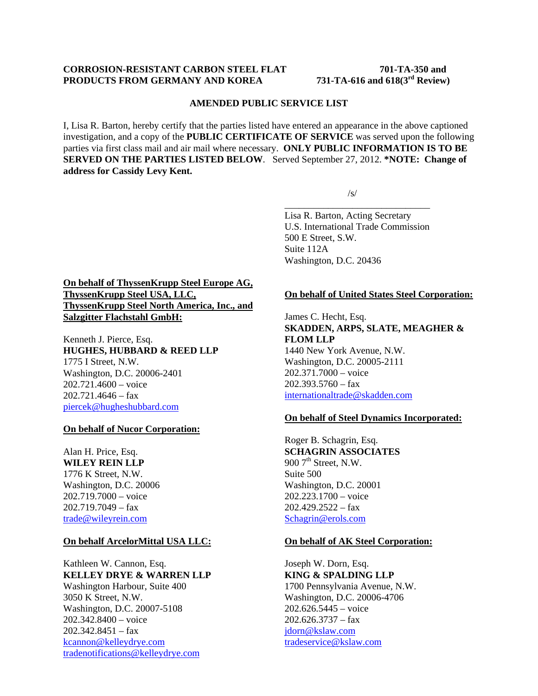### **CORROSION-RESISTANT CARBON STEEL FLAT 701-TA-350 and<br>PRODUCTS FROM GERMANY AND KOREA** 731-TA-616 and 618(3<sup>rd</sup> Review) **PRODUCTS FROM GERMANY AND KOREA**

#### **AMENDED PUBLIC SERVICE LIST**

I, Lisa R. Barton, hereby certify that the parties listed have entered an appearance in the above captioned investigation, and a copy of the **PUBLIC CERTIFICATE OF SERVICE** was served upon the following parties via first class mail and air mail where necessary. **ONLY PUBLIC INFORMATION IS TO BE SERVED ON THE PARTIES LISTED BELOW**. Served September 27, 2012. **\*NOTE: Change of address for Cassidy Levy Kent.**

 $\overline{\phantom{a}}$  , and the contract of the contract of the contract of the contract of the contract of the contract of the contract of the contract of the contract of the contract of the contract of the contract of the contrac

 $\sqrt{s}$ /s/

Lisa R. Barton, Acting Secretary U.S. International Trade Commission 500 E Street, S.W. Suite 112A Washington, D.C. 20436

# **On behalf of ThyssenKrupp Steel Europe AG, ThyssenKrupp Steel USA, LLC, ThyssenKrupp Steel North America, Inc., and Salzgitter Flachstahl GmbH:**

Kenneth J. Pierce, Esq. **HUGHES, HUBBARD & REED LLP** 1775 I Street, N.W. Washington, D.C. 20006-2401 202.721.4600 – voice  $202.721.4646 - fax$ piercek@hugheshubbard.com

### **On behalf of Nucor Corporation:**

Alan H. Price, Esq. **WILEY REIN LLP** 1776 K Street, N.W. Washington, D.C. 20006 202.719.7000 – voice 202.719.7049 – fax trade@wileyrein.com

#### **On behalf ArcelorMittal USA LLC:**

Kathleen W. Cannon, Esq. **KELLEY DRYE & WARREN LLP**  Washington Harbour, Suite 400 3050 K Street, N.W. Washington, D.C. 20007-5108 202.342.8400 – voice  $202.342.8451 - fax$ kcannon@kelleydrye.com tradenotifications@kelleydrye.com

#### **On behalf of United States Steel Corporation:**

James C. Hecht, Esq. **SKADDEN, ARPS, SLATE, MEAGHER & FLOM LLP** 1440 New York Avenue, N.W. Washington, D.C. 20005-2111 202.371.7000 – voice  $202.393.5760 - fax$ internationaltrade@skadden.com

#### **On behalf of Steel Dynamics Incorporated:**

Roger B. Schagrin, Esq. **SCHAGRIN ASSOCIATES** 900  $7<sup>th</sup>$  Street, N.W. Suite 500 Washington, D.C. 20001 202.223.1700 – voice 202.429.2522 – fax Schagrin@erols.com

#### **On behalf of AK Steel Corporation:**

Joseph W. Dorn, Esq. **KING & SPALDING LLP** 1700 Pennsylvania Avenue, N.W. Washington, D.C. 20006-4706 202.626.5445 – voice 202.626.3737 – fax jdorn@kslaw.com tradeservice@kslaw.com